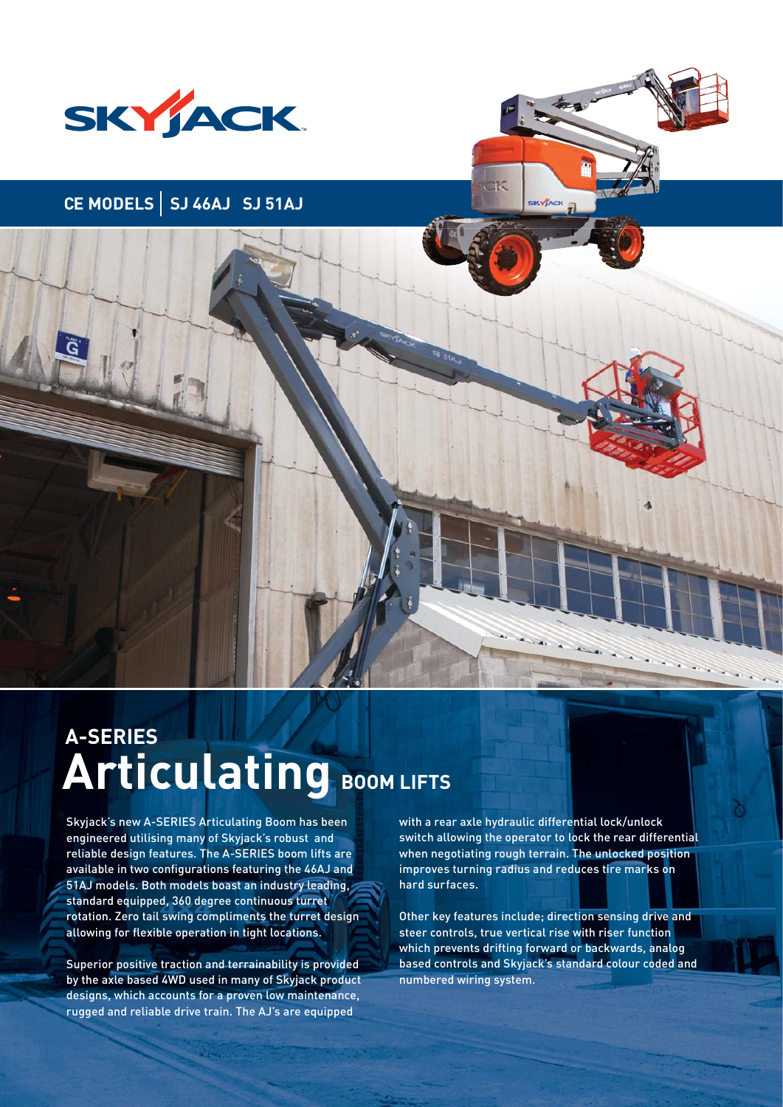

# **CE MODELS SJ 46AJ SJ 51AJ**



# **Articulating BOOM LIFTS A-SERIES**

Skyjack's new A-SERIES Articulating Boom has been engineered utilising many of Skyjack's robust and reliable design features. The A-SERIES boom lifts are available in two configurations featuring the 46AJ and 51AJ models. Both models boast an industry leading, standard equipped, 360 degree continuous turret rotation. Zero tail swing compliments the turret design allowing for flexible operation in tight locations.

Superior positive traction and terrainability is provided by the axle based 4WD used in many of Skyjack product designs, which accounts for a proven low maintenance, rugged and reliable drive train. The AJ's are equipped

with a rear axle hydraulic differential lock/unlock switch allowing the operator to lock the rear differential when negotiating rough terrain. The unlocked position improves turning radius and reduces tire marks on hard surfaces.

Other key features include; direction sensing drive and steer controls, true vertical rise with riser function which prevents drifting forward or backwards, analog based controls and Skyjack's standard colour coded and numbered wiring system.